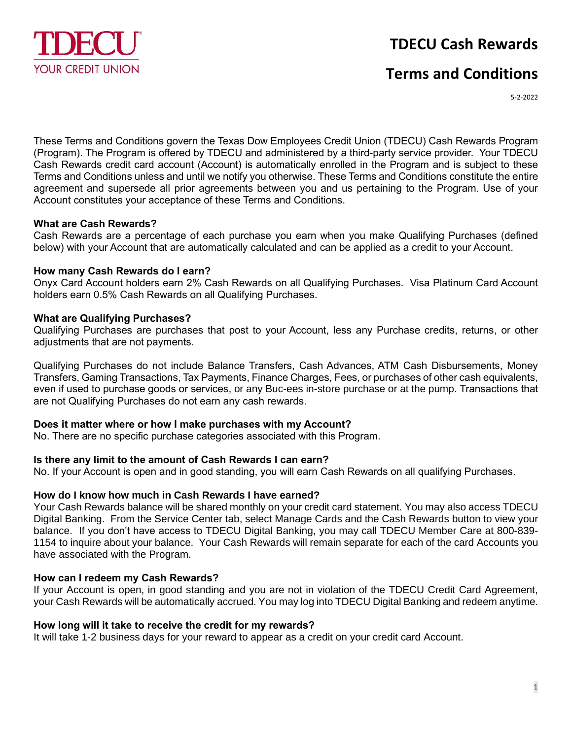

# **TDECU Cash Rewards**

# **Terms and Conditions**

5-2-2022

These Terms and Conditions govern the Texas Dow Employees Credit Union (TDECU) Cash Rewards Program (Program). The Program is offered by TDECU and administered by a third-party service provider. Your TDECU Cash Rewards credit card account (Account) is automatically enrolled in the Program and is subject to these Terms and Conditions unless and until we notify you otherwise. These Terms and Conditions constitute the entire agreement and supersede all prior agreements between you and us pertaining to the Program. Use of your Account constitutes your acceptance of these Terms and Conditions.

### **What are Cash Rewards?**

Cash Rewards are a percentage of each purchase you earn when you make Qualifying Purchases (defined below) with your Account that are automatically calculated and can be applied as a credit to your Account.

### **How many Cash Rewards do I earn?**

Onyx Card Account holders earn 2% Cash Rewards on all Qualifying Purchases. Visa Platinum Card Account holders earn 0.5% Cash Rewards on all Qualifying Purchases.

## **What are Qualifying Purchases?**

Qualifying Purchases are purchases that post to your Account, less any Purchase credits, returns, or other adjustments that are not payments.

Qualifying Purchases do not include Balance Transfers, Cash Advances, ATM Cash Disbursements, Money Transfers, Gaming Transactions, Tax Payments, Finance Charges, Fees, or purchases of other cash equivalents, even if used to purchase goods or services, or any Buc-ees in-store purchase or at the pump. Transactions that are not Qualifying Purchases do not earn any cash rewards.

### **Does it matter where or how I make purchases with my Account?**

No. There are no specific purchase categories associated with this Program.

## **Is there any limit to the amount of Cash Rewards I can earn?**

No. If your Account is open and in good standing, you will earn Cash Rewards on all qualifying Purchases.

## **How do I know how much in Cash Rewards I have earned?**

Your Cash Rewards balance will be shared monthly on your credit card statement. You may also access TDECU Digital Banking. From the Service Center tab, select Manage Cards and the Cash Rewards button to view your balance. If you don't have access to TDECU Digital Banking, you may call TDECU Member Care at 800-839- 1154 to inquire about your balance. Your Cash Rewards will remain separate for each of the card Accounts you have associated with the Program.

## **How can I redeem my Cash Rewards?**

If your Account is open, in good standing and you are not in violation of the TDECU Credit Card Agreement, your Cash Rewards will be automatically accrued. You may log into TDECU Digital Banking and redeem anytime.

### **How long will it take to receive the credit for my rewards?**

It will take 1-2 business days for your reward to appear as a credit on your credit card Account.